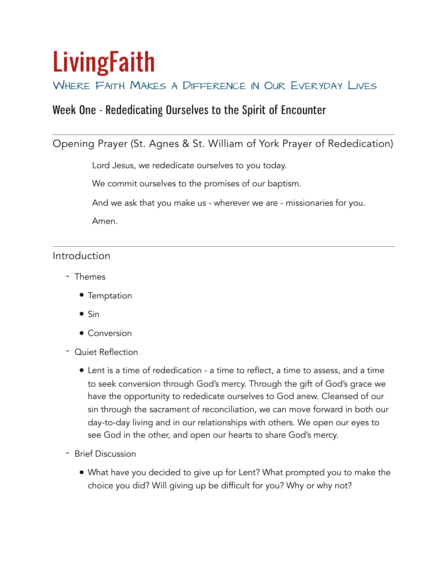# **LivingFaith**

## WHERE FAITH MAKES A DIFFERENCE IN OUR EVERYDAY LIVES

# Week One - Rededicating Ourselves to the Spirit of Encounter

## Opening Prayer (St. Agnes & St. William of York Prayer of Rededication)

Lord Jesus, we rededicate ourselves to you today.

We commit ourselves to the promises of our baptism.

And we ask that you make us - wherever we are - missionaries for you.

Amen.

## Introduction

- Themes
	- Temptation
	- Sin
	- Conversion
- Quiet Reflection
	- Lent is a time of rededication a time to reflect, a time to assess, and a time to seek conversion through God's mercy. Through the gift of God's grace we have the opportunity to rededicate ourselves to God anew. Cleansed of our sin through the sacrament of reconciliation, we can move forward in both our day-to-day living and in our relationships with others. We open our eyes to see God in the other, and open our hearts to share God's mercy.
- Brief Discussion
	- What have you decided to give up for Lent? What prompted you to make the choice you did? Will giving up be difficult for you? Why or why not?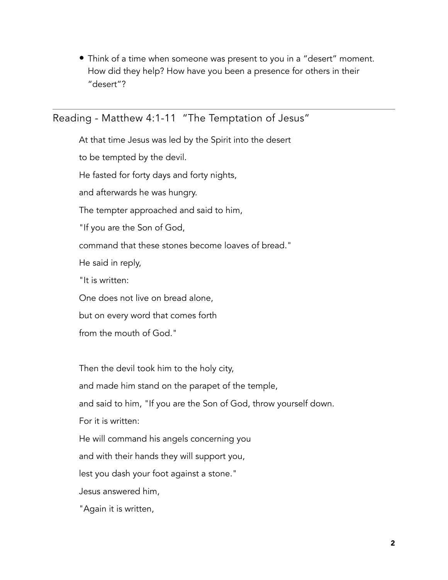• Think of a time when someone was present to you in a "desert" moment. How did they help? How have you been a presence for others in their "desert"?

## Reading - Matthew 4:1-11 "The Temptation of Jesus"

At that time Jesus was led by the Spirit into the desert to be tempted by the devil. He fasted for forty days and forty nights, and afterwards he was hungry. The tempter approached and said to him, "If you are the Son of God, command that these stones become loaves of bread." He said in reply, "It is written: One does not live on bread alone, but on every word that comes forth from the mouth of God."

Then the devil took him to the holy city, and made him stand on the parapet of the temple, and said to him, "If you are the Son of God, throw yourself down. For it is written: He will command his angels concerning you and with their hands they will support you, lest you dash your foot against a stone." Jesus answered him, "Again it is written,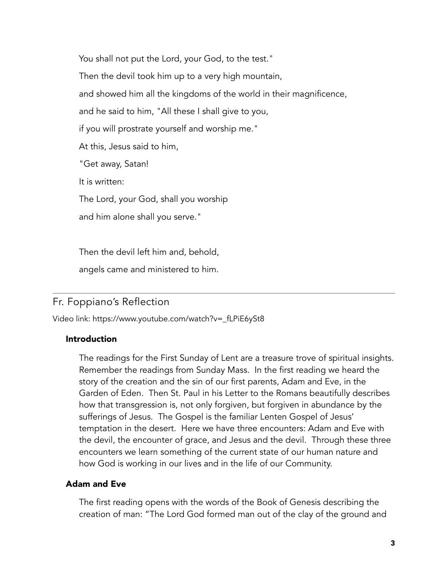You shall not put the Lord, your God, to the test." Then the devil took him up to a very high mountain, and showed him all the kingdoms of the world in their magnificence, and he said to him, "All these I shall give to you, if you will prostrate yourself and worship me." At this, Jesus said to him, "Get away, Satan! It is written: The Lord, your God, shall you worship and him alone shall you serve."

Then the devil left him and, behold,

angels came and ministered to him.

## Fr. Foppiano's Reflection

Video link: [https://www.youtube.com/watch?v=\\_fLPiE6ySt8](https://www.youtube.com/watch?v=_fLPiE6ySt8)

#### Introduction

The readings for the First Sunday of Lent are a treasure trove of spiritual insights. Remember the readings from Sunday Mass. In the first reading we heard the story of the creation and the sin of our first parents, Adam and Eve, in the Garden of Eden. Then St. Paul in his Letter to the Romans beautifully describes how that transgression is, not only forgiven, but forgiven in abundance by the sufferings of Jesus. The Gospel is the familiar Lenten Gospel of Jesus' temptation in the desert. Here we have three encounters: Adam and Eve with the devil, the encounter of grace, and Jesus and the devil. Through these three encounters we learn something of the current state of our human nature and how God is working in our lives and in the life of our Community.

#### Adam and Eve

The first reading opens with the words of the Book of Genesis describing the creation of man: "The Lord God formed man out of the clay of the ground and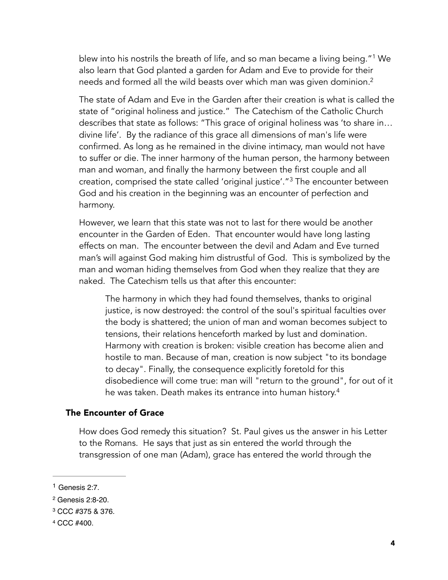<span id="page-3-4"></span>blew into his nostrils the breath of life, and so man became a living being."<sup>[1](#page-3-0)</sup> We also learn that God planted a garden for Adam and Eve to provide for their needs and formed all the wild beasts over which man was given dominion.<sup>2</sup>

<span id="page-3-5"></span>The state of Adam and Eve in the Garden after their creation is what is called the state of "original holiness and justice." The Catechism of the Catholic Church describes that state as follows: "This grace of original holiness was 'to share in… divine life'. By the radiance of this grace all dimensions of man's life were confirmed. As long as he remained in the divine intimacy, man would not have to suffer or die. The inner harmony of the human person, the harmony between man and woman, and finally the harmony between the first couple and all creation, comprised the state called 'original justice'." $3$  The encounter between God and his creation in the beginning was an encounter of perfection and harmony.

<span id="page-3-6"></span>However, we learn that this state was not to last for there would be another encounter in the Garden of Eden. That encounter would have long lasting effects on man. The encounter between the devil and Adam and Eve turned man's will against God making him distrustful of God. This is symbolized by the man and woman hiding themselves from God when they realize that they are naked. The Catechism tells us that after this encounter:

<span id="page-3-7"></span>The harmony in which they had found themselves, thanks to original justice, is now destroyed: the control of the soul's spiritual faculties over the body is shattered; the union of man and woman becomes subject to tensions, their relations henceforth marked by lust and domination. Harmony with creation is broken: visible creation has become alien and hostile to man. Because of man, creation is now subject "to its bondage to decay". Finally, the consequence explicitly foretold for this disobedience will come true: man will "return to the ground", for out of it he was taken. Death makes its entrance into human history.<sup>4</sup>

#### The Encounter of Grace

How does God remedy this situation? St. Paul gives us the answer in his Letter to the Romans. He says that just as sin entered the world through the transgression of one man (Adam), grace has entered the world through the

<span id="page-3-0"></span> $1$  Genesis 2:7.

<span id="page-3-1"></span><sup>&</sup>lt;sup>[2](#page-3-5)</sup> Genesis 2:8-20.

<span id="page-3-2"></span><sup>&</sup>lt;sup>[3](#page-3-6)</sup> CCC #375 & 376.

<span id="page-3-3"></span><sup>&</sup>lt;sup>[4](#page-3-7)</sup> CCC #400.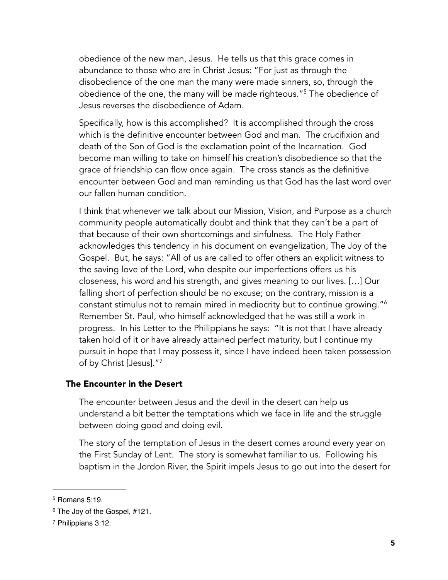obedience of the new man, Jesus. He tells us that this grace comes in abundance to those who are in Christ Jesus: "For just as through the disobedience of the one man the many were made sinners, so, through the obedience of the one, the many will be made righteous."<sup>[5](#page-4-0)</sup> The obedience of Jesus reverses the disobedience of Adam.

<span id="page-4-3"></span>Specifically, how is this accomplished? It is accomplished through the cross which is the definitive encounter between God and man. The crucifixion and death of the Son of God is the exclamation point of the Incarnation. God become man willing to take on himself his creation's disobedience so that the grace of friendship can flow once again. The cross stands as the definitive encounter between God and man reminding us that God has the last word over our fallen human condition.

I think that whenever we talk about our Mission, Vision, and Purpose as a church community people automatically doubt and think that they can't be a part of that because of their own shortcomings and sinfulness. The Holy Father acknowledges this tendency in his document on evangelization, The Joy of the Gospel. But, he says: "All of us are called to offer others an explicit witness to the saving love of the Lord, who despite our imperfections offers us his closeness, his word and his strength, and gives meaning to our lives. […] Our falling short of perfection should be no excuse; on the contrary, mission is a constant stimulus not to remain mired in mediocrity but to continue growing.["6](#page-4-1) Remember St. Paul, who himself acknowledged that he was still a work in progress. In his Letter to the Philippians he says: "It is not that I have already taken hold of it or have already attained perfect maturity, but I continue my pursuit in hope that I may possess it, since I have indeed been taken possession of by Christ [Jesus].["7](#page-4-2)

#### The Encounter in the Desert

<span id="page-4-5"></span><span id="page-4-4"></span>The encounter between Jesus and the devil in the desert can help us understand a bit better the temptations which we face in life and the struggle between doing good and doing evil.

The story of the temptation of Jesus in the desert comes around every year on the First Sunday of Lent. The story is somewhat familiar to us. Following his baptism in the Jordon River, the Spirit impels Jesus to go out into the desert for

<span id="page-4-0"></span> $5$  Romans 5:19.

<span id="page-4-1"></span><sup>&</sup>lt;sup>[6](#page-4-4)</sup> The Joy of the Gospel, #121.

<span id="page-4-2"></span><sup>&</sup>lt;sup>[7](#page-4-5)</sup> Philippians 3:12.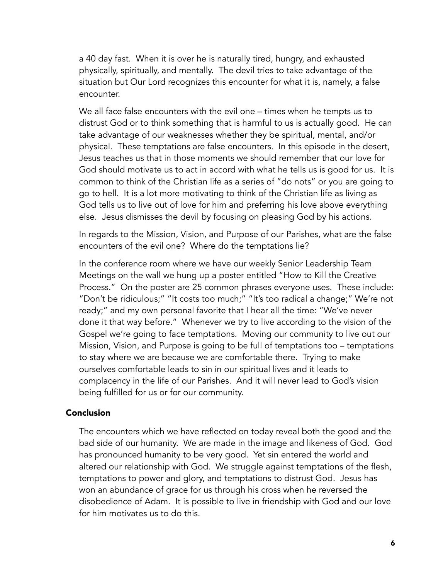a 40 day fast. When it is over he is naturally tired, hungry, and exhausted physically, spiritually, and mentally. The devil tries to take advantage of the situation but Our Lord recognizes this encounter for what it is, namely, a false encounter.

We all face false encounters with the evil one – times when he tempts us to distrust God or to think something that is harmful to us is actually good. He can take advantage of our weaknesses whether they be spiritual, mental, and/or physical. These temptations are false encounters. In this episode in the desert, Jesus teaches us that in those moments we should remember that our love for God should motivate us to act in accord with what he tells us is good for us. It is common to think of the Christian life as a series of "do nots" or you are going to go to hell. It is a lot more motivating to think of the Christian life as living as God tells us to live out of love for him and preferring his love above everything else. Jesus dismisses the devil by focusing on pleasing God by his actions.

In regards to the Mission, Vision, and Purpose of our Parishes, what are the false encounters of the evil one? Where do the temptations lie?

In the conference room where we have our weekly Senior Leadership Team Meetings on the wall we hung up a poster entitled "How to Kill the Creative Process." On the poster are 25 common phrases everyone uses. These include: "Don't be ridiculous;" "It costs too much;" "It's too radical a change;" We're not ready;" and my own personal favorite that I hear all the time: "We've never done it that way before." Whenever we try to live according to the vision of the Gospel we're going to face temptations. Moving our community to live out our Mission, Vision, and Purpose is going to be full of temptations too – temptations to stay where we are because we are comfortable there. Trying to make ourselves comfortable leads to sin in our spiritual lives and it leads to complacency in the life of our Parishes. And it will never lead to God's vision being fulfilled for us or for our community.

#### Conclusion

The encounters which we have reflected on today reveal both the good and the bad side of our humanity. We are made in the image and likeness of God. God has pronounced humanity to be very good. Yet sin entered the world and altered our relationship with God. We struggle against temptations of the flesh, temptations to power and glory, and temptations to distrust God. Jesus has won an abundance of grace for us through his cross when he reversed the disobedience of Adam. It is possible to live in friendship with God and our love for him motivates us to do this.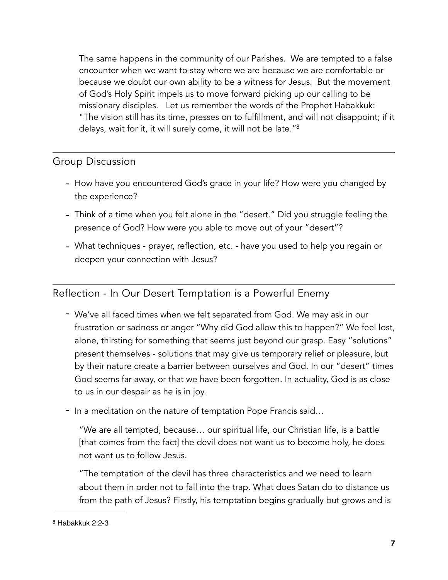<span id="page-6-1"></span>The same happens in the community of our Parishes. We are tempted to a false encounter when we want to stay where we are because we are comfortable or because we doubt our own ability to be a witness for Jesus. But the movement of God's Holy Spirit impels us to move forward picking up our calling to be missionary disciples. Let us remember the words of the Prophet Habakkuk: "The vision still has its time, presses on to fulfillment, and will not disappoint; if it delays, wait for it, it will surely come, it will not be late.["8](#page-6-0)

## Group Discussion

- How have you encountered God's grace in your life? How were you changed by the experience?
- Think of a time when you felt alone in the "desert." Did you struggle feeling the presence of God? How were you able to move out of your "desert"?
- What techniques prayer, reflection, etc. have you used to help you regain or deepen your connection with Jesus?

## Reflection - In Our Desert Temptation is a Powerful Enemy

- We've all faced times when we felt separated from God. We may ask in our frustration or sadness or anger "Why did God allow this to happen?" We feel lost, alone, thirsting for something that seems just beyond our grasp. Easy "solutions" present themselves - solutions that may give us temporary relief or pleasure, but by their nature create a barrier between ourselves and God. In our "desert" times God seems far away, or that we have been forgotten. In actuality, God is as close to us in our despair as he is in joy.
- In a meditation on the nature of temptation Pope Francis said…

"We are all tempted, because… our spiritual life, our Christian life, is a battle [that comes from the fact] the devil does not want us to become holy, he does not want us to follow Jesus.

"The temptation of the devil has three characteristics and we need to learn about them in order not to fall into the trap. What does Satan do to distance us from the path of Jesus? Firstly, his temptation begins gradually but grows and is

<span id="page-6-0"></span>[<sup>8</sup>](#page-6-1) Habakkuk 2:2-3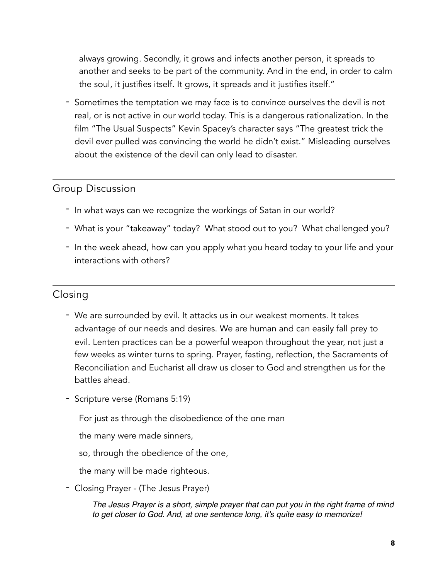always growing. Secondly, it grows and infects another person, it spreads to another and seeks to be part of the community. And in the end, in order to calm the soul, it justifies itself. It grows, it spreads and it justifies itself."

- Sometimes the temptation we may face is to convince ourselves the devil is not real, or is not active in our world today. This is a dangerous rationalization. In the film "The Usual Suspects" Kevin Spacey's character says "The greatest trick the devil ever pulled was convincing the world he didn't exist." Misleading ourselves about the existence of the devil can only lead to disaster.

## Group Discussion

- In what ways can we recognize the workings of Satan in our world?
- What is your "takeaway" today? What stood out to you? What challenged you?
- In the week ahead, how can you apply what you heard today to your life and your interactions with others?

## Closing

- We are surrounded by evil. It attacks us in our weakest moments. It takes advantage of our needs and desires. We are human and can easily fall prey to evil. Lenten practices can be a powerful weapon throughout the year, not just a few weeks as winter turns to spring. Prayer, fasting, reflection, the Sacraments of Reconciliation and Eucharist all draw us closer to God and strengthen us for the battles ahead.
- Scripture verse (Romans 5:19)

For just as through the disobedience of the one man

the many were made sinners,

- so, through the obedience of the one,
- the many will be made righteous.
- Closing Prayer (The Jesus Prayer)

*The Jesus Prayer is a short, simple prayer that can put you in the right frame of mind to get closer to God. And, at one sentence long, it's quite easy to memorize!*